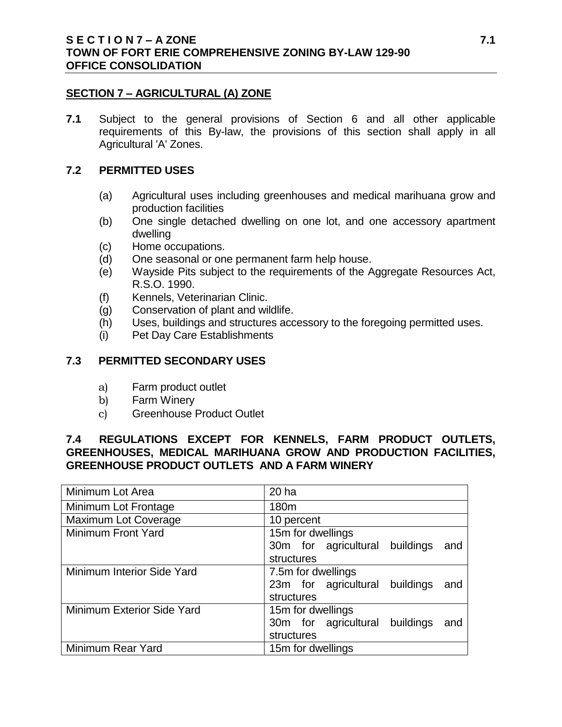#### **SECTION 7 – AGRICULTURAL (A) ZONE**

**7.1** Subject to the general provisions of Section 6 and all other applicable requirements of this By-law, the provisions of this section shall apply in all Agricultural 'A' Zones.

#### **7.2 PERMITTED USES**

- (a) Agricultural uses including greenhouses and medical marihuana grow and production facilities
- (b) One single detached dwelling on one lot, and one accessory apartment dwelling
- (c) Home occupations.
- (d) One seasonal or one permanent farm help house.
- (e) Wayside Pits subject to the requirements of the Aggregate Resources Act, R.S.O. 1990.
- (f) Kennels, Veterinarian Clinic.
- (g) Conservation of plant and wildlife.
- (h) Uses, buildings and structures accessory to the foregoing permitted uses.
- (i) Pet Day Care Establishments

#### **7.3 PERMITTED SECONDARY USES**

- a) Farm product outlet
- b) Farm Winery
- c) Greenhouse Product Outlet

## **7.4 REGULATIONS EXCEPT FOR KENNELS, FARM PRODUCT OUTLETS, GREENHOUSES, MEDICAL MARIHUANA GROW AND PRODUCTION FACILITIES, GREENHOUSE PRODUCT OUTLETS AND A FARM WINERY**

| Minimum Lot Area            | 20 ha                                 |
|-----------------------------|---------------------------------------|
| Minimum Lot Frontage        | 180m                                  |
| <b>Maximum Lot Coverage</b> | 10 percent                            |
| Minimum Front Yard          | 15m for dwellings                     |
|                             | 30m for agricultural buildings<br>and |
|                             | structures                            |
| Minimum Interior Side Yard  | 7.5m for dwellings                    |
|                             | 23m for agricultural buildings<br>and |
|                             | structures                            |
| Minimum Exterior Side Yard  | 15m for dwellings                     |
|                             | 30m for agricultural buildings<br>and |
|                             | structures                            |
| Minimum Rear Yard           | 15m for dwellings                     |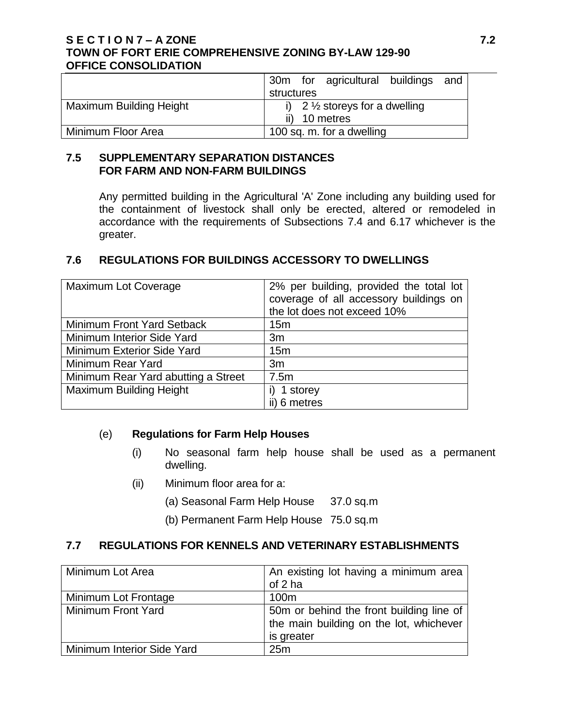### **S E C T I O N 7 – A ZONE 7.2 TOWN OF FORT ERIE COMPREHENSIVE ZONING BY-LAW 129-90 OFFICE CONSOLIDATION**

|                                | 30m for agricultural buildings and       |
|--------------------------------|------------------------------------------|
|                                | structures                               |
| <b>Maximum Building Height</b> | i) $2\frac{1}{2}$ storeys for a dwelling |
|                                | ii) 10 metres                            |
| Minimum Floor Area             | 100 sq. m. for a dwelling                |

### **7.5 SUPPLEMENTARY SEPARATION DISTANCES FOR FARM AND NON-FARM BUILDINGS**

Any permitted building in the Agricultural 'A' Zone including any building used for the containment of livestock shall only be erected, altered or remodeled in accordance with the requirements of Subsections 7.4 and 6.17 whichever is the greater.

## **7.6 REGULATIONS FOR BUILDINGS ACCESSORY TO DWELLINGS**

| <b>Maximum Lot Coverage</b>         | 2% per building, provided the total lot<br>coverage of all accessory buildings on<br>the lot does not exceed 10% |
|-------------------------------------|------------------------------------------------------------------------------------------------------------------|
| Minimum Front Yard Setback          | 15 <sub>m</sub>                                                                                                  |
| Minimum Interior Side Yard          | 3m                                                                                                               |
| Minimum Exterior Side Yard          | 15 <sub>m</sub>                                                                                                  |
| Minimum Rear Yard                   | 3m                                                                                                               |
| Minimum Rear Yard abutting a Street | 7.5m                                                                                                             |
| <b>Maximum Building Height</b>      | 1 storey                                                                                                         |
|                                     | ii) 6 metres                                                                                                     |

## (e) **Regulations for Farm Help Houses**

- (i) No seasonal farm help house shall be used as a permanent dwelling.
- (ii) Minimum floor area for a:
	- (a) Seasonal Farm Help House 37.0 sq.m
	- (b) Permanent Farm Help House 75.0 sq.m

## **7.7 REGULATIONS FOR KENNELS AND VETERINARY ESTABLISHMENTS**

| Minimum Lot Area           | An existing lot having a minimum area    |
|----------------------------|------------------------------------------|
|                            | of 2 ha                                  |
| Minimum Lot Frontage       | 100 <sub>m</sub>                         |
| Minimum Front Yard         | 50m or behind the front building line of |
|                            | the main building on the lot, whichever  |
|                            | is greater                               |
| Minimum Interior Side Yard | 25m                                      |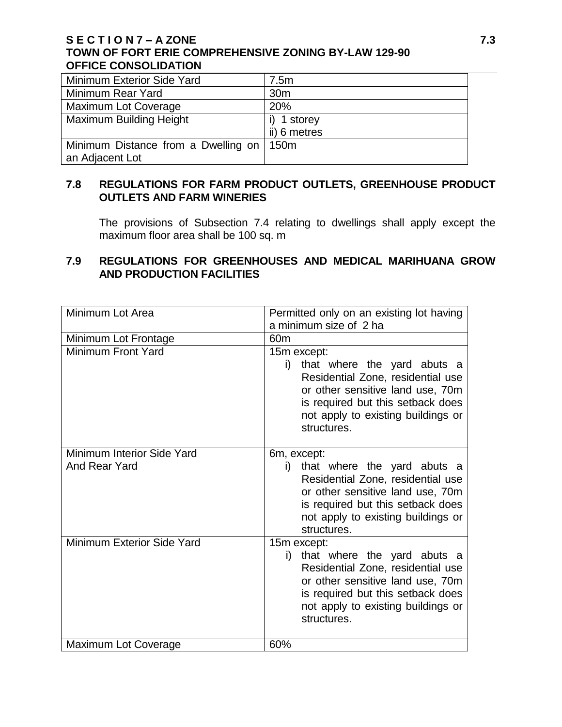## **S E C T I O N 7 – A ZONE 7.3 TOWN OF FORT ERIE COMPREHENSIVE ZONING BY-LAW 129-90 OFFICE CONSOLIDATION**

| Minimum Exterior Side Yard          | 7.5m             |
|-------------------------------------|------------------|
| Minimum Rear Yard                   | 30 <sub>m</sub>  |
| <b>Maximum Lot Coverage</b>         | 20%              |
| <b>Maximum Building Height</b>      | 1 storey         |
|                                     | ii) 6 metres     |
| Minimum Distance from a Dwelling on | 150 <sub>m</sub> |
| an Adjacent Lot                     |                  |

# **7.8 REGULATIONS FOR FARM PRODUCT OUTLETS, GREENHOUSE PRODUCT OUTLETS AND FARM WINERIES**

The provisions of Subsection 7.4 relating to dwellings shall apply except the maximum floor area shall be 100 sq. m

# **7.9 REGULATIONS FOR GREENHOUSES AND MEDICAL MARIHUANA GROW AND PRODUCTION FACILITIES**

| Minimum Lot Area                                   | Permitted only on an existing lot having                                                                                                                                                                            |
|----------------------------------------------------|---------------------------------------------------------------------------------------------------------------------------------------------------------------------------------------------------------------------|
|                                                    | a minimum size of 2 ha                                                                                                                                                                                              |
| Minimum Lot Frontage                               | 60 <sub>m</sub>                                                                                                                                                                                                     |
| Minimum Front Yard                                 | 15m except:<br>that where the yard abuts a<br>i)<br>Residential Zone, residential use<br>or other sensitive land use, 70m<br>is required but this setback does<br>not apply to existing buildings or<br>structures. |
| Minimum Interior Side Yard<br><b>And Rear Yard</b> | 6m, except:<br>that where the yard abuts a<br>i)<br>Residential Zone, residential use<br>or other sensitive land use, 70m<br>is required but this setback does<br>not apply to existing buildings or<br>structures. |
| Minimum Exterior Side Yard                         | 15m except:<br>that where the yard abuts a<br>i)<br>Residential Zone, residential use<br>or other sensitive land use, 70m<br>is required but this setback does<br>not apply to existing buildings or<br>structures. |
| Maximum Lot Coverage                               | 60%                                                                                                                                                                                                                 |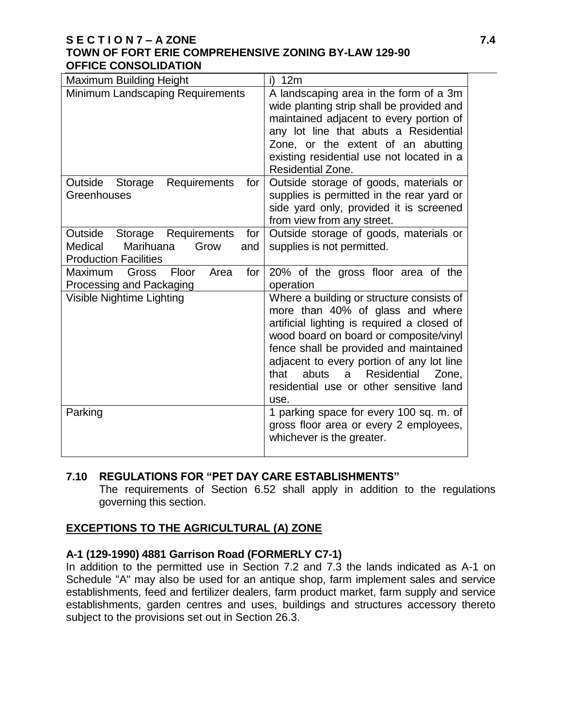#### **S E C T I O N 7 – A ZONE 7.4 TOWN OF FORT ERIE COMPREHENSIVE ZONING BY-LAW 129-90 OFFICE CONSOLIDATION**

| <b>Maximum Building Height</b>                                                                                    | i)<br>12m                                                                                                                                                                                                                                                                                                                                                        |
|-------------------------------------------------------------------------------------------------------------------|------------------------------------------------------------------------------------------------------------------------------------------------------------------------------------------------------------------------------------------------------------------------------------------------------------------------------------------------------------------|
| Minimum Landscaping Requirements                                                                                  | A landscaping area in the form of a 3m<br>wide planting strip shall be provided and<br>maintained adjacent to every portion of<br>any lot line that abuts a Residential<br>Zone, or the extent of an abutting<br>existing residential use not located in a<br>Residential Zone.                                                                                  |
| Outside Storage<br><b>Requirements</b><br>for<br>Greenhouses                                                      | Outside storage of goods, materials or<br>supplies is permitted in the rear yard or<br>side yard only, provided it is screened<br>from view from any street.                                                                                                                                                                                                     |
| Outside<br>Storage Requirements<br>for $ $<br>Marihuana<br>Medical<br>Grow<br>and<br><b>Production Facilities</b> | Outside storage of goods, materials or<br>supplies is not permitted.                                                                                                                                                                                                                                                                                             |
| Floor<br>Area<br>for<br><b>Maximum</b><br>Gross<br>Processing and Packaging                                       | 20% of the gross floor area of the<br>operation                                                                                                                                                                                                                                                                                                                  |
| Visible Nightime Lighting                                                                                         | Where a building or structure consists of<br>more than 40% of glass and where<br>artificial lighting is required a closed of<br>wood board on board or composite/vinyl<br>fence shall be provided and maintained<br>adjacent to every portion of any lot line<br>abuts<br>Residential<br>that<br>Zone,<br>a a<br>residential use or other sensitive land<br>use. |
| Parking                                                                                                           | 1 parking space for every 100 sq. m. of<br>gross floor area or every 2 employees,<br>whichever is the greater.                                                                                                                                                                                                                                                   |

## **7.10 REGULATIONS FOR "PET DAY CARE ESTABLISHMENTS"**

The requirements of Section 6.52 shall apply in addition to the regulations governing this section.

# **EXCEPTIONS TO THE AGRICULTURAL (A) ZONE**

## **A-1 (129-1990) 4881 Garrison Road (FORMERLY C7-1)**

In addition to the permitted use in Section 7.2 and 7.3 the lands indicated as A-1 on Schedule "A" may also be used for an antique shop, farm implement sales and service establishments, feed and fertilizer dealers, farm product market, farm supply and service establishments, garden centres and uses, buildings and structures accessory thereto subject to the provisions set out in Section 26.3.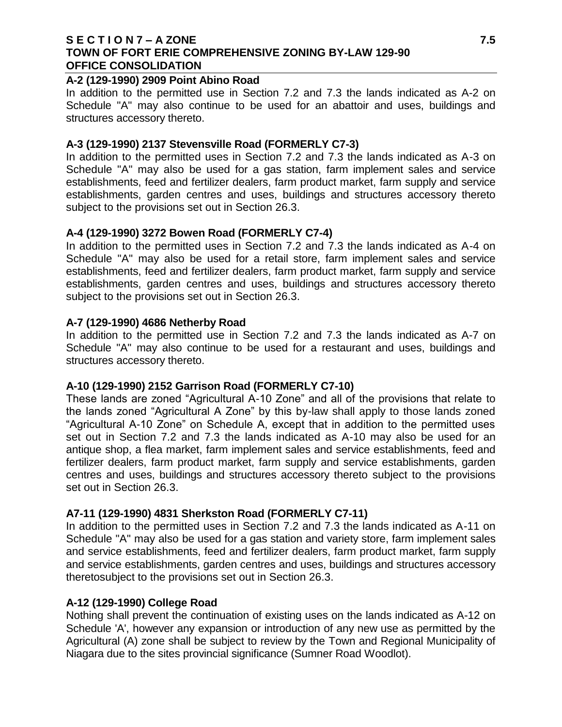#### **S E C T I O N 7 – A ZONE 7.5 TOWN OF FORT ERIE COMPREHENSIVE ZONING BY-LAW 129-90 OFFICE CONSOLIDATION**

#### **A-2 (129-1990) 2909 Point Abino Road**

In addition to the permitted use in Section 7.2 and 7.3 the lands indicated as A-2 on Schedule "A" may also continue to be used for an abattoir and uses, buildings and structures accessory thereto.

#### **A-3 (129-1990) 2137 Stevensville Road (FORMERLY C7-3)**

In addition to the permitted uses in Section 7.2 and 7.3 the lands indicated as A-3 on Schedule "A" may also be used for a gas station, farm implement sales and service establishments, feed and fertilizer dealers, farm product market, farm supply and service establishments, garden centres and uses, buildings and structures accessory thereto subject to the provisions set out in Section 26.3.

#### **A-4 (129-1990) 3272 Bowen Road (FORMERLY C7-4)**

In addition to the permitted uses in Section 7.2 and 7.3 the lands indicated as A-4 on Schedule "A" may also be used for a retail store, farm implement sales and service establishments, feed and fertilizer dealers, farm product market, farm supply and service establishments, garden centres and uses, buildings and structures accessory thereto subject to the provisions set out in Section 26.3.

#### **A-7 (129-1990) 4686 Netherby Road**

In addition to the permitted use in Section 7.2 and 7.3 the lands indicated as A-7 on Schedule "A" may also continue to be used for a restaurant and uses, buildings and structures accessory thereto.

## **A-10 (129-1990) 2152 Garrison Road (FORMERLY C7-10)**

These lands are zoned "Agricultural A-10 Zone" and all of the provisions that relate to the lands zoned "Agricultural A Zone" by this by-law shall apply to those lands zoned "Agricultural A-10 Zone" on Schedule A, except that in addition to the permitted uses set out in Section 7.2 and 7.3 the lands indicated as A-10 may also be used for an antique shop, a flea market, farm implement sales and service establishments, feed and fertilizer dealers, farm product market, farm supply and service establishments, garden centres and uses, buildings and structures accessory thereto subject to the provisions set out in Section 26.3.

## **A7-11 (129-1990) 4831 Sherkston Road (FORMERLY C7-11)**

In addition to the permitted uses in Section 7.2 and 7.3 the lands indicated as A-11 on Schedule "A" may also be used for a gas station and variety store, farm implement sales and service establishments, feed and fertilizer dealers, farm product market, farm supply and service establishments, garden centres and uses, buildings and structures accessory theretosubject to the provisions set out in Section 26.3.

#### **A-12 (129-1990) College Road**

Nothing shall prevent the continuation of existing uses on the lands indicated as A-12 on Schedule 'A', however any expansion or introduction of any new use as permitted by the Agricultural (A) zone shall be subject to review by the Town and Regional Municipality of Niagara due to the sites provincial significance (Sumner Road Woodlot).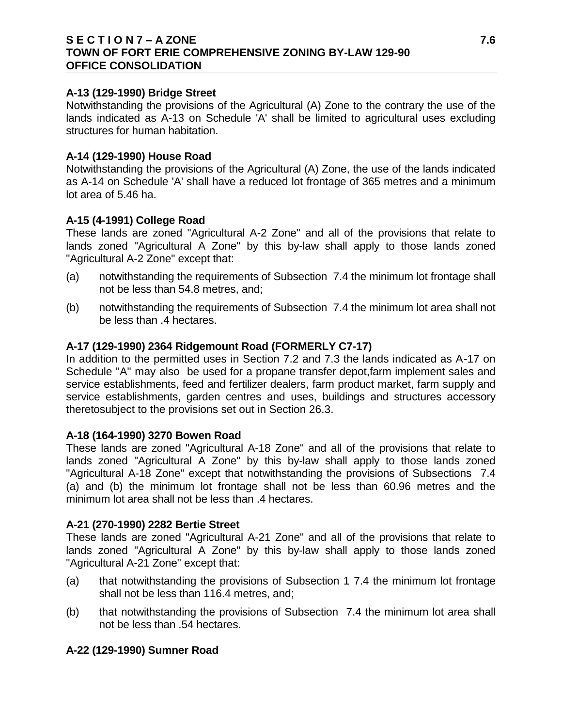#### **S E C T I O N 7 – A ZONE 7.6 TOWN OF FORT ERIE COMPREHENSIVE ZONING BY-LAW 129-90 OFFICE CONSOLIDATION**

#### **A-13 (129-1990) Bridge Street**

Notwithstanding the provisions of the Agricultural (A) Zone to the contrary the use of the lands indicated as A-13 on Schedule 'A' shall be limited to agricultural uses excluding structures for human habitation.

#### **A-14 (129-1990) House Road**

Notwithstanding the provisions of the Agricultural (A) Zone, the use of the lands indicated as A-14 on Schedule 'A' shall have a reduced lot frontage of 365 metres and a minimum lot area of 5.46 ha.

#### **A-15 (4-1991) College Road**

These lands are zoned "Agricultural A-2 Zone" and all of the provisions that relate to lands zoned "Agricultural A Zone" by this by-law shall apply to those lands zoned "Agricultural A-2 Zone" except that:

- (a) notwithstanding the requirements of Subsection 7.4 the minimum lot frontage shall not be less than 54.8 metres, and;
- (b) notwithstanding the requirements of Subsection 7.4 the minimum lot area shall not be less than .4 hectares.

#### **A-17 (129-1990) 2364 Ridgemount Road (FORMERLY C7-17)**

In addition to the permitted uses in Section 7.2 and 7.3 the lands indicated as A-17 on Schedule "A" may also be used for a propane transfer depot,farm implement sales and service establishments, feed and fertilizer dealers, farm product market, farm supply and service establishments, garden centres and uses, buildings and structures accessory theretosubject to the provisions set out in Section 26.3.

#### **A-18 (164-1990) 3270 Bowen Road**

These lands are zoned "Agricultural A-18 Zone" and all of the provisions that relate to lands zoned "Agricultural A Zone" by this by-law shall apply to those lands zoned "Agricultural A-18 Zone" except that notwithstanding the provisions of Subsections 7.4 (a) and (b) the minimum lot frontage shall not be less than 60.96 metres and the minimum lot area shall not be less than .4 hectares.

#### **A-21 (270-1990) 2282 Bertie Street**

These lands are zoned "Agricultural A-21 Zone" and all of the provisions that relate to lands zoned "Agricultural A Zone" by this by-law shall apply to those lands zoned "Agricultural A-21 Zone" except that:

- (a) that notwithstanding the provisions of Subsection 1 7.4 the minimum lot frontage shall not be less than 116.4 metres, and;
- (b) that notwithstanding the provisions of Subsection 7.4 the minimum lot area shall not be less than .54 hectares.

## **A-22 (129-1990) Sumner Road**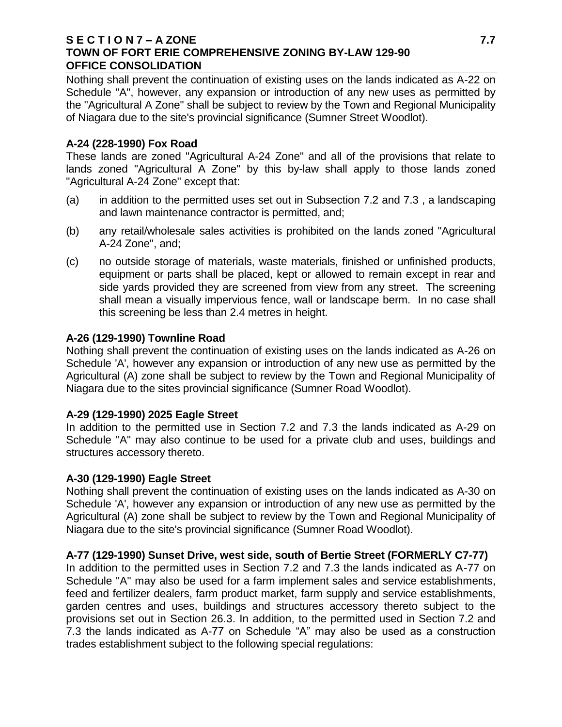#### **S E C T I O N 7 – A ZONE 7.7 TOWN OF FORT ERIE COMPREHENSIVE ZONING BY-LAW 129-90 OFFICE CONSOLIDATION**

Nothing shall prevent the continuation of existing uses on the lands indicated as A-22 on Schedule "A", however, any expansion or introduction of any new uses as permitted by the "Agricultural A Zone" shall be subject to review by the Town and Regional Municipality of Niagara due to the site's provincial significance (Sumner Street Woodlot).

## **A-24 (228-1990) Fox Road**

These lands are zoned "Agricultural A-24 Zone" and all of the provisions that relate to lands zoned "Agricultural A Zone" by this by-law shall apply to those lands zoned "Agricultural A-24 Zone" except that:

- (a) in addition to the permitted uses set out in Subsection 7.2 and 7.3 , a landscaping and lawn maintenance contractor is permitted, and;
- (b) any retail/wholesale sales activities is prohibited on the lands zoned "Agricultural A-24 Zone", and;
- (c) no outside storage of materials, waste materials, finished or unfinished products, equipment or parts shall be placed, kept or allowed to remain except in rear and side yards provided they are screened from view from any street. The screening shall mean a visually impervious fence, wall or landscape berm. In no case shall this screening be less than 2.4 metres in height.

## **A-26 (129-1990) Townline Road**

Nothing shall prevent the continuation of existing uses on the lands indicated as A-26 on Schedule 'A', however any expansion or introduction of any new use as permitted by the Agricultural (A) zone shall be subject to review by the Town and Regional Municipality of Niagara due to the sites provincial significance (Sumner Road Woodlot).

# **A-29 (129-1990) 2025 Eagle Street**

In addition to the permitted use in Section 7.2 and 7.3 the lands indicated as A-29 on Schedule "A" may also continue to be used for a private club and uses, buildings and structures accessory thereto.

# **A-30 (129-1990) Eagle Street**

Nothing shall prevent the continuation of existing uses on the lands indicated as A-30 on Schedule 'A', however any expansion or introduction of any new use as permitted by the Agricultural (A) zone shall be subject to review by the Town and Regional Municipality of Niagara due to the site's provincial significance (Sumner Road Woodlot).

# **A-77 (129-1990) Sunset Drive, west side, south of Bertie Street (FORMERLY C7-77)**

In addition to the permitted uses in Section 7.2 and 7.3 the lands indicated as A-77 on Schedule "A" may also be used for a farm implement sales and service establishments, feed and fertilizer dealers, farm product market, farm supply and service establishments, garden centres and uses, buildings and structures accessory thereto subject to the provisions set out in Section 26.3. In addition, to the permitted used in Section 7.2 and 7.3 the lands indicated as A-77 on Schedule "A" may also be used as a construction trades establishment subject to the following special regulations: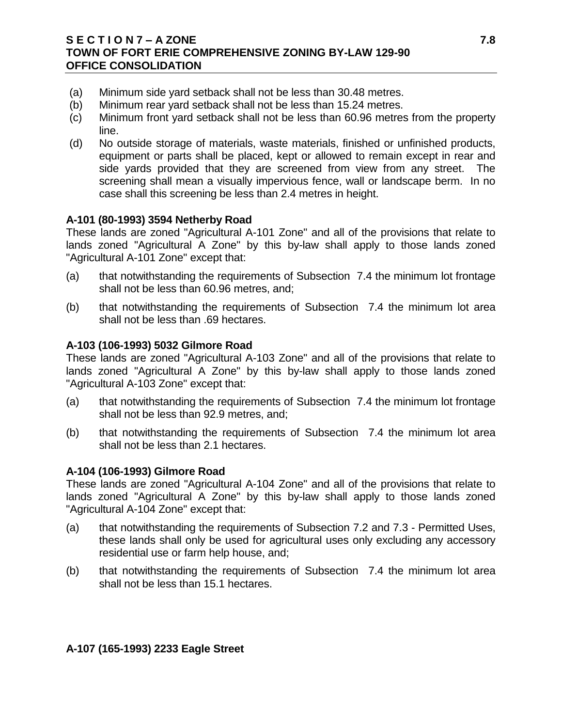## **S E C T I O N 7 – A ZONE 7.8 TOWN OF FORT ERIE COMPREHENSIVE ZONING BY-LAW 129-90 OFFICE CONSOLIDATION**

- (a) Minimum side yard setback shall not be less than 30.48 metres.
- (b) Minimum rear yard setback shall not be less than 15.24 metres.
- (c) Minimum front yard setback shall not be less than 60.96 metres from the property line.
- (d) No outside storage of materials, waste materials, finished or unfinished products, equipment or parts shall be placed, kept or allowed to remain except in rear and side yards provided that they are screened from view from any street. The screening shall mean a visually impervious fence, wall or landscape berm. In no case shall this screening be less than 2.4 metres in height.

#### **A-101 (80-1993) 3594 Netherby Road**

These lands are zoned "Agricultural A-101 Zone" and all of the provisions that relate to lands zoned "Agricultural A Zone" by this by-law shall apply to those lands zoned "Agricultural A-101 Zone" except that:

- (a) that notwithstanding the requirements of Subsection 7.4 the minimum lot frontage shall not be less than 60.96 metres, and;
- (b) that notwithstanding the requirements of Subsection 7.4 the minimum lot area shall not be less than .69 hectares.

#### **A-103 (106-1993) 5032 Gilmore Road**

These lands are zoned "Agricultural A-103 Zone" and all of the provisions that relate to lands zoned "Agricultural A Zone" by this by-law shall apply to those lands zoned "Agricultural A-103 Zone" except that:

- (a) that notwithstanding the requirements of Subsection 7.4 the minimum lot frontage shall not be less than 92.9 metres, and;
- (b) that notwithstanding the requirements of Subsection 7.4 the minimum lot area shall not be less than 2.1 hectares.

#### **A-104 (106-1993) Gilmore Road**

These lands are zoned "Agricultural A-104 Zone" and all of the provisions that relate to lands zoned "Agricultural A Zone" by this by-law shall apply to those lands zoned "Agricultural A-104 Zone" except that:

- (a) that notwithstanding the requirements of Subsection 7.2 and 7.3 Permitted Uses, these lands shall only be used for agricultural uses only excluding any accessory residential use or farm help house, and;
- (b) that notwithstanding the requirements of Subsection 7.4 the minimum lot area shall not be less than 15.1 hectares.

## **A-107 (165-1993) 2233 Eagle Street**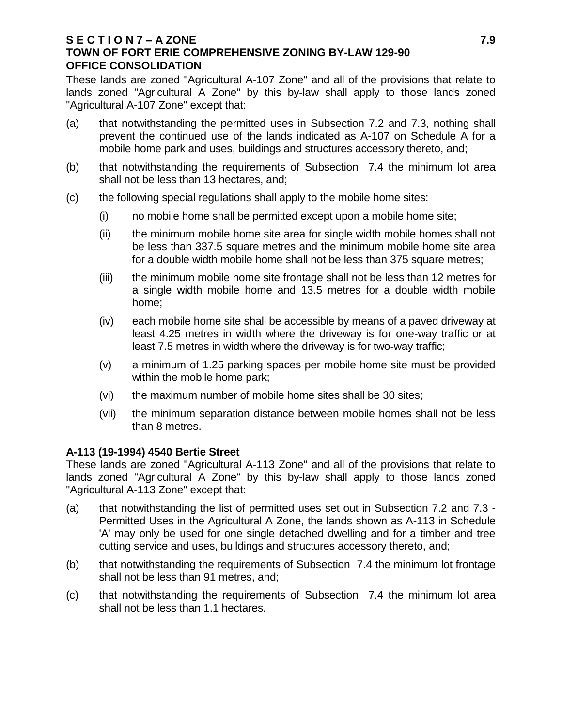### **S E C T I O N 7 – A ZONE 7.9 TOWN OF FORT ERIE COMPREHENSIVE ZONING BY-LAW 129-90 OFFICE CONSOLIDATION**

These lands are zoned "Agricultural A-107 Zone" and all of the provisions that relate to lands zoned "Agricultural A Zone" by this by-law shall apply to those lands zoned "Agricultural A-107 Zone" except that:

- (a) that notwithstanding the permitted uses in Subsection 7.2 and 7.3, nothing shall prevent the continued use of the lands indicated as A-107 on Schedule A for a mobile home park and uses, buildings and structures accessory thereto, and;
- (b) that notwithstanding the requirements of Subsection 7.4 the minimum lot area shall not be less than 13 hectares, and;
- (c) the following special regulations shall apply to the mobile home sites:
	- (i) no mobile home shall be permitted except upon a mobile home site;
	- (ii) the minimum mobile home site area for single width mobile homes shall not be less than 337.5 square metres and the minimum mobile home site area for a double width mobile home shall not be less than 375 square metres;
	- (iii) the minimum mobile home site frontage shall not be less than 12 metres for a single width mobile home and 13.5 metres for a double width mobile home;
	- (iv) each mobile home site shall be accessible by means of a paved driveway at least 4.25 metres in width where the driveway is for one-way traffic or at least 7.5 metres in width where the driveway is for two-way traffic;
	- (v) a minimum of 1.25 parking spaces per mobile home site must be provided within the mobile home park;
	- (vi) the maximum number of mobile home sites shall be 30 sites;
	- (vii) the minimum separation distance between mobile homes shall not be less than 8 metres.

## **A-113 (19-1994) 4540 Bertie Street**

These lands are zoned "Agricultural A-113 Zone" and all of the provisions that relate to lands zoned "Agricultural A Zone" by this by-law shall apply to those lands zoned "Agricultural A-113 Zone" except that:

- (a) that notwithstanding the list of permitted uses set out in Subsection 7.2 and 7.3 Permitted Uses in the Agricultural A Zone, the lands shown as A-113 in Schedule 'A' may only be used for one single detached dwelling and for a timber and tree cutting service and uses, buildings and structures accessory thereto, and;
- (b) that notwithstanding the requirements of Subsection 7.4 the minimum lot frontage shall not be less than 91 metres, and;
- (c) that notwithstanding the requirements of Subsection 7.4 the minimum lot area shall not be less than 1.1 hectares.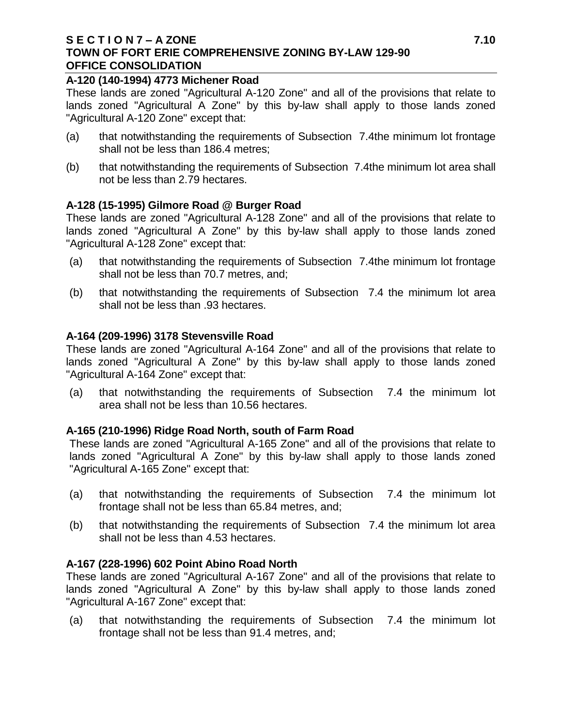#### **S E C T I O N 7 – A ZONE 7.10 TOWN OF FORT ERIE COMPREHENSIVE ZONING BY-LAW 129-90 OFFICE CONSOLIDATION**

### **A-120 (140-1994) 4773 Michener Road**

These lands are zoned "Agricultural A-120 Zone" and all of the provisions that relate to lands zoned "Agricultural A Zone" by this by-law shall apply to those lands zoned "Agricultural A-120 Zone" except that:

- (a) that notwithstanding the requirements of Subsection 7.4the minimum lot frontage shall not be less than 186.4 metres;
- (b) that notwithstanding the requirements of Subsection 7.4the minimum lot area shall not be less than 2.79 hectares.

## **A-128 (15-1995) Gilmore Road @ Burger Road**

These lands are zoned "Agricultural A-128 Zone" and all of the provisions that relate to lands zoned "Agricultural A Zone" by this by-law shall apply to those lands zoned "Agricultural A-128 Zone" except that:

- (a) that notwithstanding the requirements of Subsection 7.4the minimum lot frontage shall not be less than 70.7 metres, and;
- (b) that notwithstanding the requirements of Subsection 7.4 the minimum lot area shall not be less than .93 hectares.

#### **A-164 (209-1996) 3178 Stevensville Road**

These lands are zoned "Agricultural A-164 Zone" and all of the provisions that relate to lands zoned "Agricultural A Zone" by this by-law shall apply to those lands zoned "Agricultural A-164 Zone" except that:

(a) that notwithstanding the requirements of Subsection 7.4 the minimum lot area shall not be less than 10.56 hectares.

## **A-165 (210-1996) Ridge Road North, south of Farm Road**

These lands are zoned "Agricultural A-165 Zone" and all of the provisions that relate to lands zoned "Agricultural A Zone" by this by-law shall apply to those lands zoned "Agricultural A-165 Zone" except that:

- (a) that notwithstanding the requirements of Subsection 7.4 the minimum lot frontage shall not be less than 65.84 metres, and;
- (b) that notwithstanding the requirements of Subsection 7.4 the minimum lot area shall not be less than 4.53 hectares.

## **A-167 (228-1996) 602 Point Abino Road North**

These lands are zoned "Agricultural A-167 Zone" and all of the provisions that relate to lands zoned "Agricultural A Zone" by this by-law shall apply to those lands zoned "Agricultural A-167 Zone" except that:

(a) that notwithstanding the requirements of Subsection 7.4 the minimum lot frontage shall not be less than 91.4 metres, and;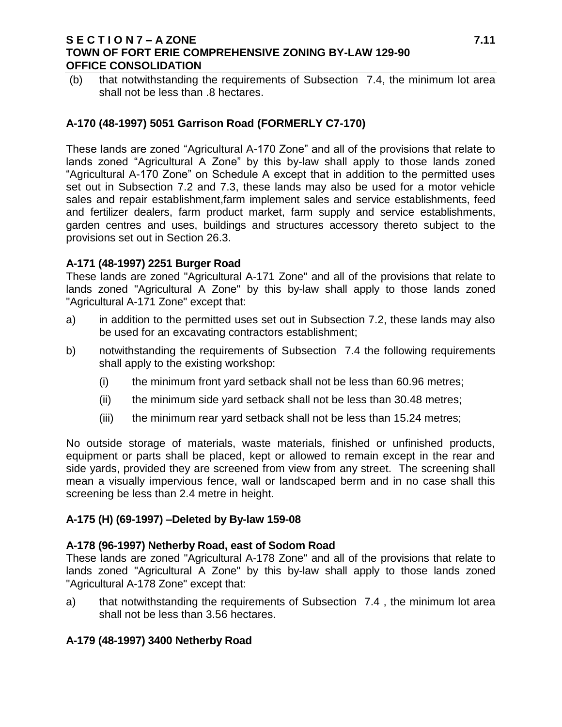### **S E C T I O N 7 – A ZONE 7.11 TOWN OF FORT ERIE COMPREHENSIVE ZONING BY-LAW 129-90 OFFICE CONSOLIDATION**

(b) that notwithstanding the requirements of Subsection 7.4, the minimum lot area shall not be less than .8 hectares.

# **A-170 (48-1997) 5051 Garrison Road (FORMERLY C7-170)**

These lands are zoned "Agricultural A-170 Zone" and all of the provisions that relate to lands zoned "Agricultural A Zone" by this by-law shall apply to those lands zoned "Agricultural A-170 Zone" on Schedule A except that in addition to the permitted uses set out in Subsection 7.2 and 7.3, these lands may also be used for a motor vehicle sales and repair establishment,farm implement sales and service establishments, feed and fertilizer dealers, farm product market, farm supply and service establishments, garden centres and uses, buildings and structures accessory thereto subject to the provisions set out in Section 26.3.

## **A-171 (48-1997) 2251 Burger Road**

These lands are zoned "Agricultural A-171 Zone" and all of the provisions that relate to lands zoned "Agricultural A Zone" by this by-law shall apply to those lands zoned "Agricultural A-171 Zone" except that:

- a) in addition to the permitted uses set out in Subsection 7.2, these lands may also be used for an excavating contractors establishment;
- b) notwithstanding the requirements of Subsection 7.4 the following requirements shall apply to the existing workshop:
	- (i) the minimum front yard setback shall not be less than 60.96 metres;
	- (ii) the minimum side yard setback shall not be less than 30.48 metres;
	- (iii) the minimum rear yard setback shall not be less than 15.24 metres;

No outside storage of materials, waste materials, finished or unfinished products, equipment or parts shall be placed, kept or allowed to remain except in the rear and side yards, provided they are screened from view from any street. The screening shall mean a visually impervious fence, wall or landscaped berm and in no case shall this screening be less than 2.4 metre in height.

## **A-175 (H) (69-1997) –Deleted by By-law 159-08**

## **A-178 (96-1997) Netherby Road, east of Sodom Road**

These lands are zoned "Agricultural A-178 Zone" and all of the provisions that relate to lands zoned "Agricultural A Zone" by this by-law shall apply to those lands zoned "Agricultural A-178 Zone" except that:

a) that notwithstanding the requirements of Subsection 7.4 , the minimum lot area shall not be less than 3.56 hectares.

## **A-179 (48-1997) 3400 Netherby Road**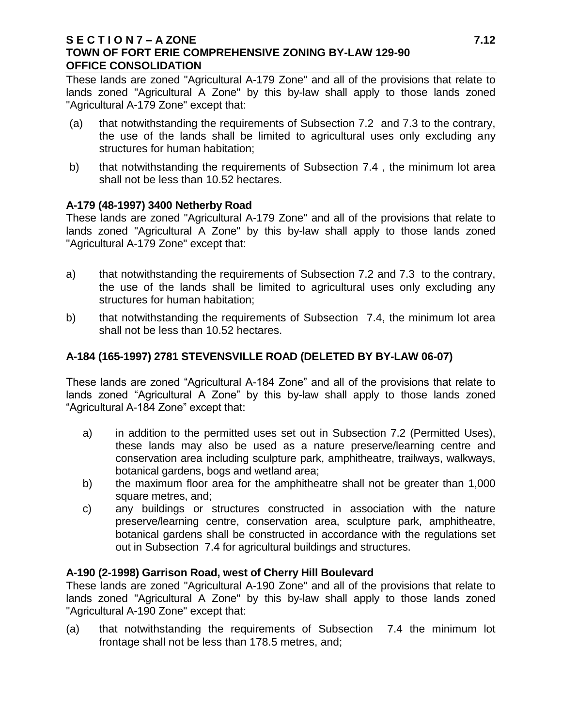### **S E C T I O N 7 – A ZONE 7.12 TOWN OF FORT ERIE COMPREHENSIVE ZONING BY-LAW 129-90 OFFICE CONSOLIDATION**

These lands are zoned "Agricultural A-179 Zone" and all of the provisions that relate to lands zoned "Agricultural A Zone" by this by-law shall apply to those lands zoned "Agricultural A-179 Zone" except that:

- (a) that notwithstanding the requirements of Subsection 7.2 and 7.3 to the contrary, the use of the lands shall be limited to agricultural uses only excluding any structures for human habitation;
- b) that notwithstanding the requirements of Subsection 7.4 , the minimum lot area shall not be less than 10.52 hectares.

## **A-179 (48-1997) 3400 Netherby Road**

These lands are zoned "Agricultural A-179 Zone" and all of the provisions that relate to lands zoned "Agricultural A Zone" by this by-law shall apply to those lands zoned "Agricultural A-179 Zone" except that:

- a) that notwithstanding the requirements of Subsection 7.2 and 7.3 to the contrary, the use of the lands shall be limited to agricultural uses only excluding any structures for human habitation;
- b) that notwithstanding the requirements of Subsection 7.4, the minimum lot area shall not be less than 10.52 hectares.

# **A-184 (165-1997) 2781 STEVENSVILLE ROAD (DELETED BY BY-LAW 06-07)**

These lands are zoned "Agricultural A-184 Zone" and all of the provisions that relate to lands zoned "Agricultural A Zone" by this by-law shall apply to those lands zoned "Agricultural A-184 Zone" except that:

- a) in addition to the permitted uses set out in Subsection 7.2 (Permitted Uses), these lands may also be used as a nature preserve/learning centre and conservation area including sculpture park, amphitheatre, trailways, walkways, botanical gardens, bogs and wetland area;
- b) the maximum floor area for the amphitheatre shall not be greater than 1,000 square metres, and;
- c) any buildings or structures constructed in association with the nature preserve/learning centre, conservation area, sculpture park, amphitheatre, botanical gardens shall be constructed in accordance with the regulations set out in Subsection 7.4 for agricultural buildings and structures.

## **A-190 (2-1998) Garrison Road, west of Cherry Hill Boulevard**

These lands are zoned "Agricultural A-190 Zone" and all of the provisions that relate to lands zoned "Agricultural A Zone" by this by-law shall apply to those lands zoned "Agricultural A-190 Zone" except that:

(a) that notwithstanding the requirements of Subsection 7.4 the minimum lot frontage shall not be less than 178.5 metres, and;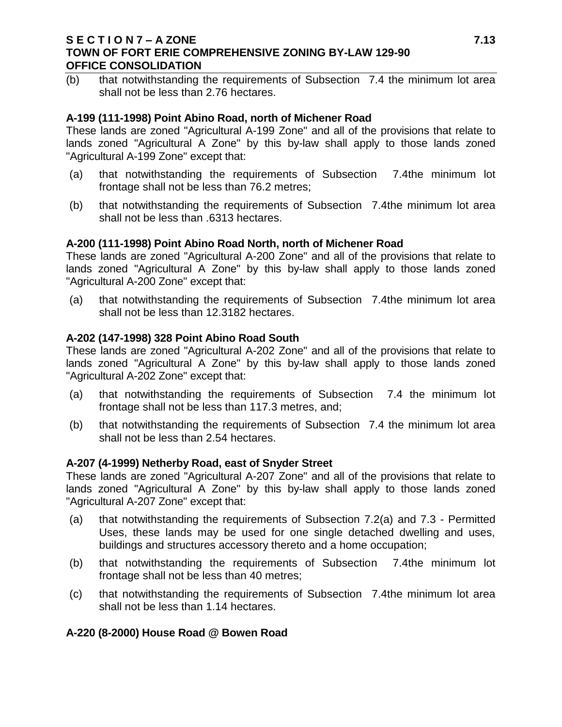### **S E C T I O N 7 – A ZONE 7.13 TOWN OF FORT ERIE COMPREHENSIVE ZONING BY-LAW 129-90 OFFICE CONSOLIDATION**

(b) that notwithstanding the requirements of Subsection 7.4 the minimum lot area shall not be less than 2.76 hectares.

### **A-199 (111-1998) Point Abino Road, north of Michener Road**

These lands are zoned "Agricultural A-199 Zone" and all of the provisions that relate to lands zoned "Agricultural A Zone" by this by-law shall apply to those lands zoned "Agricultural A-199 Zone" except that:

- (a) that notwithstanding the requirements of Subsection 7.4the minimum lot frontage shall not be less than 76.2 metres;
- (b) that notwithstanding the requirements of Subsection 7.4the minimum lot area shall not be less than .6313 hectares.

#### **A-200 (111-1998) Point Abino Road North, north of Michener Road**

These lands are zoned "Agricultural A-200 Zone" and all of the provisions that relate to lands zoned "Agricultural A Zone" by this by-law shall apply to those lands zoned "Agricultural A-200 Zone" except that:

(a) that notwithstanding the requirements of Subsection 7.4the minimum lot area shall not be less than 12.3182 hectares.

#### **A-202 (147-1998) 328 Point Abino Road South**

These lands are zoned "Agricultural A-202 Zone" and all of the provisions that relate to lands zoned "Agricultural A Zone" by this by-law shall apply to those lands zoned "Agricultural A-202 Zone" except that:

- (a) that notwithstanding the requirements of Subsection 7.4 the minimum lot frontage shall not be less than 117.3 metres, and;
- (b) that notwithstanding the requirements of Subsection 7.4 the minimum lot area shall not be less than 2.54 hectares.

#### **A-207 (4-1999) Netherby Road, east of Snyder Street**

These lands are zoned "Agricultural A-207 Zone" and all of the provisions that relate to lands zoned "Agricultural A Zone" by this by-law shall apply to those lands zoned "Agricultural A-207 Zone" except that:

- (a) that notwithstanding the requirements of Subsection 7.2(a) and 7.3 Permitted Uses, these lands may be used for one single detached dwelling and uses, buildings and structures accessory thereto and a home occupation;
- (b) that notwithstanding the requirements of Subsection 7.4the minimum lot frontage shall not be less than 40 metres;
- (c) that notwithstanding the requirements of Subsection 7.4the minimum lot area shall not be less than 1.14 hectares.

## **A-220 (8-2000) House Road @ Bowen Road**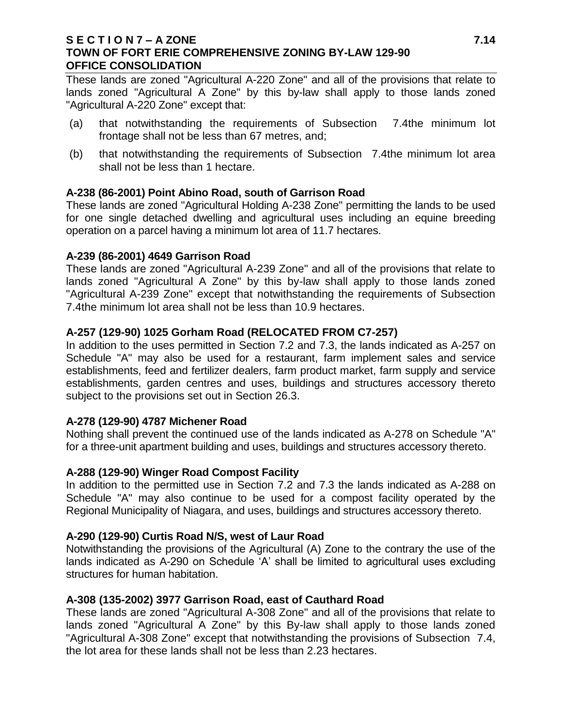### **S E C T I O N 7 – A ZONE 7.14 TOWN OF FORT ERIE COMPREHENSIVE ZONING BY-LAW 129-90 OFFICE CONSOLIDATION**

These lands are zoned "Agricultural A-220 Zone" and all of the provisions that relate to lands zoned "Agricultural A Zone" by this by-law shall apply to those lands zoned "Agricultural A-220 Zone" except that:

- (a) that notwithstanding the requirements of Subsection 7.4the minimum lot frontage shall not be less than 67 metres, and;
- (b) that notwithstanding the requirements of Subsection 7.4the minimum lot area shall not be less than 1 hectare.

## **A-238 (86-2001) Point Abino Road, south of Garrison Road**

These lands are zoned "Agricultural Holding A-238 Zone" permitting the lands to be used for one single detached dwelling and agricultural uses including an equine breeding operation on a parcel having a minimum lot area of 11.7 hectares.

## **A-239 (86-2001) 4649 Garrison Road**

These lands are zoned "Agricultural A-239 Zone" and all of the provisions that relate to lands zoned "Agricultural A Zone" by this by-law shall apply to those lands zoned "Agricultural A-239 Zone" except that notwithstanding the requirements of Subsection 7.4the minimum lot area shall not be less than 10.9 hectares.

## **A-257 (129-90) 1025 Gorham Road (RELOCATED FROM C7-257)**

In addition to the uses permitted in Section 7.2 and 7.3, the lands indicated as A-257 on Schedule "A" may also be used for a restaurant, farm implement sales and service establishments, feed and fertilizer dealers, farm product market, farm supply and service establishments, garden centres and uses, buildings and structures accessory thereto subject to the provisions set out in Section 26.3.

## **A-278 (129-90) 4787 Michener Road**

Nothing shall prevent the continued use of the lands indicated as A-278 on Schedule "A" for a three-unit apartment building and uses, buildings and structures accessory thereto.

## **A-288 (129-90) Winger Road Compost Facility**

In addition to the permitted use in Section 7.2 and 7.3 the lands indicated as A-288 on Schedule "A" may also continue to be used for a compost facility operated by the Regional Municipality of Niagara, and uses, buildings and structures accessory thereto.

## **A-290 (129-90) Curtis Road N/S, west of Laur Road**

Notwithstanding the provisions of the Agricultural (A) Zone to the contrary the use of the lands indicated as A-290 on Schedule 'A' shall be limited to agricultural uses excluding structures for human habitation.

## **A-308 (135-2002) 3977 Garrison Road, east of Cauthard Road**

These lands are zoned "Agricultural A-308 Zone" and all of the provisions that relate to lands zoned "Agricultural A Zone" by this By-law shall apply to those lands zoned "Agricultural A-308 Zone" except that notwithstanding the provisions of Subsection 7.4, the lot area for these lands shall not be less than 2.23 hectares.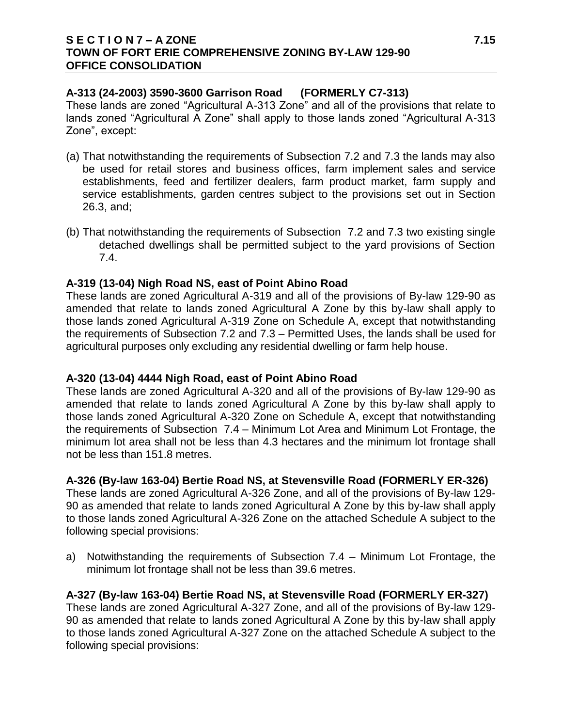### **S E C T I O N 7 – A ZONE 7.15 TOWN OF FORT ERIE COMPREHENSIVE ZONING BY-LAW 129-90 OFFICE CONSOLIDATION**

# **A-313 (24-2003) 3590-3600 Garrison Road (FORMERLY C7-313)**

These lands are zoned "Agricultural A-313 Zone" and all of the provisions that relate to lands zoned "Agricultural A Zone" shall apply to those lands zoned "Agricultural A-313 Zone", except:

- (a) That notwithstanding the requirements of Subsection 7.2 and 7.3 the lands may also be used for retail stores and business offices, farm implement sales and service establishments, feed and fertilizer dealers, farm product market, farm supply and service establishments, garden centres subject to the provisions set out in Section 26.3, and;
- (b) That notwithstanding the requirements of Subsection 7.2 and 7.3 two existing single detached dwellings shall be permitted subject to the yard provisions of Section 7.4.

## **A-319 (13-04) Nigh Road NS, east of Point Abino Road**

These lands are zoned Agricultural A-319 and all of the provisions of By-law 129-90 as amended that relate to lands zoned Agricultural A Zone by this by-law shall apply to those lands zoned Agricultural A-319 Zone on Schedule A, except that notwithstanding the requirements of Subsection 7.2 and 7.3 – Permitted Uses, the lands shall be used for agricultural purposes only excluding any residential dwelling or farm help house.

## **A-320 (13-04) 4444 Nigh Road, east of Point Abino Road**

These lands are zoned Agricultural A-320 and all of the provisions of By-law 129-90 as amended that relate to lands zoned Agricultural A Zone by this by-law shall apply to those lands zoned Agricultural A-320 Zone on Schedule A, except that notwithstanding the requirements of Subsection 7.4 – Minimum Lot Area and Minimum Lot Frontage, the minimum lot area shall not be less than 4.3 hectares and the minimum lot frontage shall not be less than 151.8 metres.

# **A-326 (By-law 163-04) Bertie Road NS, at Stevensville Road (FORMERLY ER-326)**

These lands are zoned Agricultural A-326 Zone, and all of the provisions of By-law 129- 90 as amended that relate to lands zoned Agricultural A Zone by this by-law shall apply to those lands zoned Agricultural A-326 Zone on the attached Schedule A subject to the following special provisions:

a) Notwithstanding the requirements of Subsection 7.4 – Minimum Lot Frontage, the minimum lot frontage shall not be less than 39.6 metres.

# **A-327 (By-law 163-04) Bertie Road NS, at Stevensville Road (FORMERLY ER-327)**

These lands are zoned Agricultural A-327 Zone, and all of the provisions of By-law 129- 90 as amended that relate to lands zoned Agricultural A Zone by this by-law shall apply to those lands zoned Agricultural A-327 Zone on the attached Schedule A subject to the following special provisions: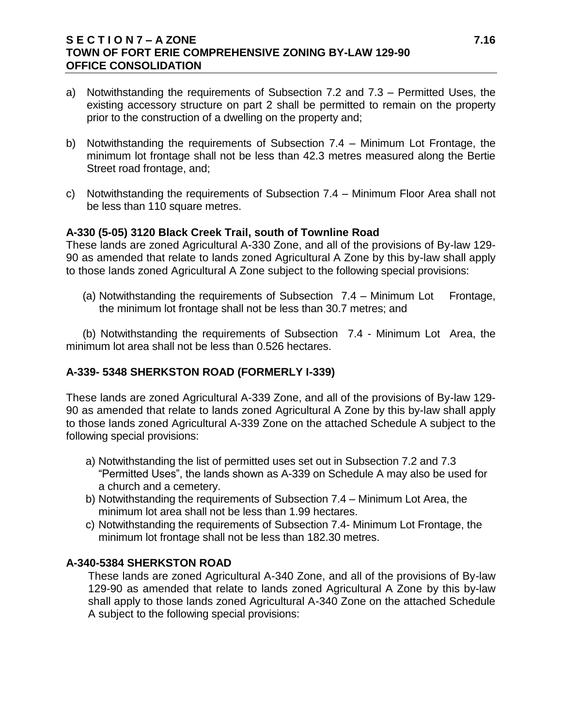## **S E C T I O N 7 – A ZONE 7.16 TOWN OF FORT ERIE COMPREHENSIVE ZONING BY-LAW 129-90 OFFICE CONSOLIDATION**

- a) Notwithstanding the requirements of Subsection 7.2 and 7.3 Permitted Uses, the existing accessory structure on part 2 shall be permitted to remain on the property prior to the construction of a dwelling on the property and;
- b) Notwithstanding the requirements of Subsection 7.4 Minimum Lot Frontage, the minimum lot frontage shall not be less than 42.3 metres measured along the Bertie Street road frontage, and;
- c) Notwithstanding the requirements of Subsection 7.4 Minimum Floor Area shall not be less than 110 square metres.

## **A-330 (5-05) 3120 Black Creek Trail, south of Townline Road**

These lands are zoned Agricultural A-330 Zone, and all of the provisions of By-law 129- 90 as amended that relate to lands zoned Agricultural A Zone by this by-law shall apply to those lands zoned Agricultural A Zone subject to the following special provisions:

(a) Notwithstanding the requirements of Subsection  $7.4$  – Minimum Lot Frontage, the minimum lot frontage shall not be less than 30.7 metres; and

(b) Notwithstanding the requirements of Subsection 7.4 - Minimum Lot Area, the minimum lot area shall not be less than 0.526 hectares.

# **A-339- 5348 SHERKSTON ROAD (FORMERLY I-339)**

These lands are zoned Agricultural A-339 Zone, and all of the provisions of By-law 129- 90 as amended that relate to lands zoned Agricultural A Zone by this by-law shall apply to those lands zoned Agricultural A-339 Zone on the attached Schedule A subject to the following special provisions:

- a) Notwithstanding the list of permitted uses set out in Subsection 7.2 and 7.3 "Permitted Uses", the lands shown as A-339 on Schedule A may also be used for a church and a cemetery.
- b) Notwithstanding the requirements of Subsection 7.4 Minimum Lot Area, the minimum lot area shall not be less than 1.99 hectares.
- c) Notwithstanding the requirements of Subsection 7.4- Minimum Lot Frontage, the minimum lot frontage shall not be less than 182.30 metres.

## **A-340-5384 SHERKSTON ROAD**

These lands are zoned Agricultural A-340 Zone, and all of the provisions of By-law 129-90 as amended that relate to lands zoned Agricultural A Zone by this by-law shall apply to those lands zoned Agricultural A-340 Zone on the attached Schedule A subject to the following special provisions: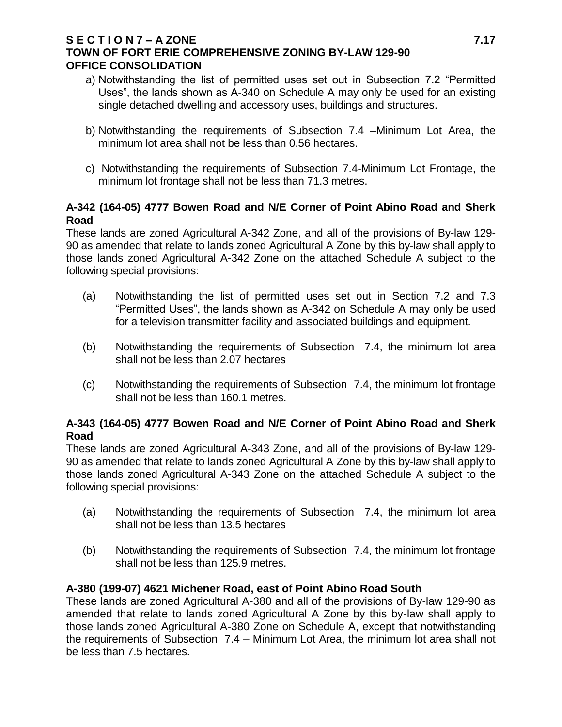## **S E C T I O N 7 – A ZONE 7.17 TOWN OF FORT ERIE COMPREHENSIVE ZONING BY-LAW 129-90 OFFICE CONSOLIDATION**

- a) Notwithstanding the list of permitted uses set out in Subsection 7.2 "Permitted Uses", the lands shown as A-340 on Schedule A may only be used for an existing single detached dwelling and accessory uses, buildings and structures.
- b) Notwithstanding the requirements of Subsection 7.4 –Minimum Lot Area, the minimum lot area shall not be less than 0.56 hectares.
- c) Notwithstanding the requirements of Subsection 7.4-Minimum Lot Frontage, the minimum lot frontage shall not be less than 71.3 metres.

## **A-342 (164-05) 4777 Bowen Road and N/E Corner of Point Abino Road and Sherk Road**

These lands are zoned Agricultural A-342 Zone, and all of the provisions of By-law 129- 90 as amended that relate to lands zoned Agricultural A Zone by this by-law shall apply to those lands zoned Agricultural A-342 Zone on the attached Schedule A subject to the following special provisions:

- (a) Notwithstanding the list of permitted uses set out in Section 7.2 and 7.3 "Permitted Uses", the lands shown as A-342 on Schedule A may only be used for a television transmitter facility and associated buildings and equipment.
- (b) Notwithstanding the requirements of Subsection 7.4, the minimum lot area shall not be less than 2.07 hectares
- (c) Notwithstanding the requirements of Subsection 7.4, the minimum lot frontage shall not be less than 160.1 metres.

# **A-343 (164-05) 4777 Bowen Road and N/E Corner of Point Abino Road and Sherk Road**

These lands are zoned Agricultural A-343 Zone, and all of the provisions of By-law 129- 90 as amended that relate to lands zoned Agricultural A Zone by this by-law shall apply to those lands zoned Agricultural A-343 Zone on the attached Schedule A subject to the following special provisions:

- (a) Notwithstanding the requirements of Subsection 7.4, the minimum lot area shall not be less than 13.5 hectares
- (b) Notwithstanding the requirements of Subsection 7.4, the minimum lot frontage shall not be less than 125.9 metres.

# **A-380 (199-07) 4621 Michener Road, east of Point Abino Road South**

These lands are zoned Agricultural A-380 and all of the provisions of By-law 129-90 as amended that relate to lands zoned Agricultural A Zone by this by-law shall apply to those lands zoned Agricultural A-380 Zone on Schedule A, except that notwithstanding the requirements of Subsection 7.4 – Minimum Lot Area, the minimum lot area shall not be less than 7.5 hectares.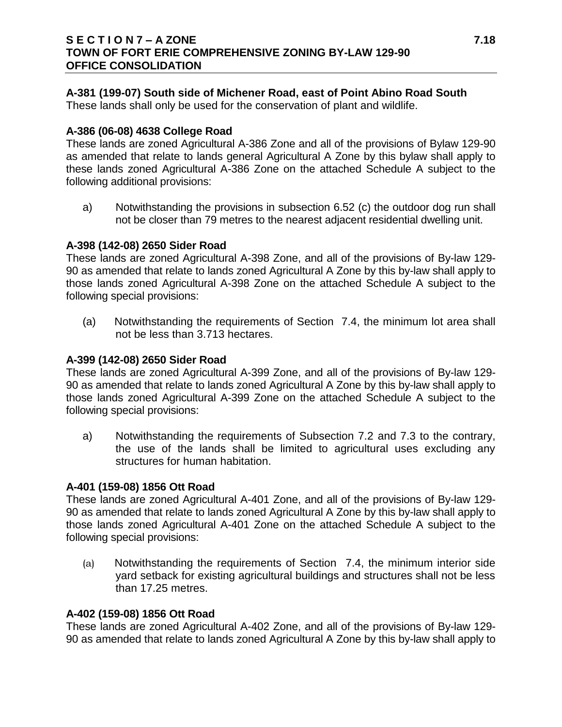## **A-381 (199-07) South side of Michener Road, east of Point Abino Road South**

These lands shall only be used for the conservation of plant and wildlife.

## **A-386 (06-08) 4638 College Road**

These lands are zoned Agricultural A-386 Zone and all of the provisions of Bylaw 129-90 as amended that relate to lands general Agricultural A Zone by this bylaw shall apply to these lands zoned Agricultural A-386 Zone on the attached Schedule A subject to the following additional provisions:

a) Notwithstanding the provisions in subsection 6.52 (c) the outdoor dog run shall not be closer than 79 metres to the nearest adjacent residential dwelling unit.

## **A-398 (142-08) 2650 Sider Road**

These lands are zoned Agricultural A-398 Zone, and all of the provisions of By-law 129- 90 as amended that relate to lands zoned Agricultural A Zone by this by-law shall apply to those lands zoned Agricultural A-398 Zone on the attached Schedule A subject to the following special provisions:

(a) Notwithstanding the requirements of Section 7.4, the minimum lot area shall not be less than 3.713 hectares.

# **A-399 (142-08) 2650 Sider Road**

These lands are zoned Agricultural A-399 Zone, and all of the provisions of By-law 129- 90 as amended that relate to lands zoned Agricultural A Zone by this by-law shall apply to those lands zoned Agricultural A-399 Zone on the attached Schedule A subject to the following special provisions:

a) Notwithstanding the requirements of Subsection 7.2 and 7.3 to the contrary, the use of the lands shall be limited to agricultural uses excluding any structures for human habitation.

## **A-401 (159-08) 1856 Ott Road**

These lands are zoned Agricultural A-401 Zone, and all of the provisions of By-law 129- 90 as amended that relate to lands zoned Agricultural A Zone by this by-law shall apply to those lands zoned Agricultural A-401 Zone on the attached Schedule A subject to the following special provisions:

(a) Notwithstanding the requirements of Section 7.4, the minimum interior side yard setback for existing agricultural buildings and structures shall not be less than 17.25 metres.

## **A-402 (159-08) 1856 Ott Road**

These lands are zoned Agricultural A-402 Zone, and all of the provisions of By-law 129- 90 as amended that relate to lands zoned Agricultural A Zone by this by-law shall apply to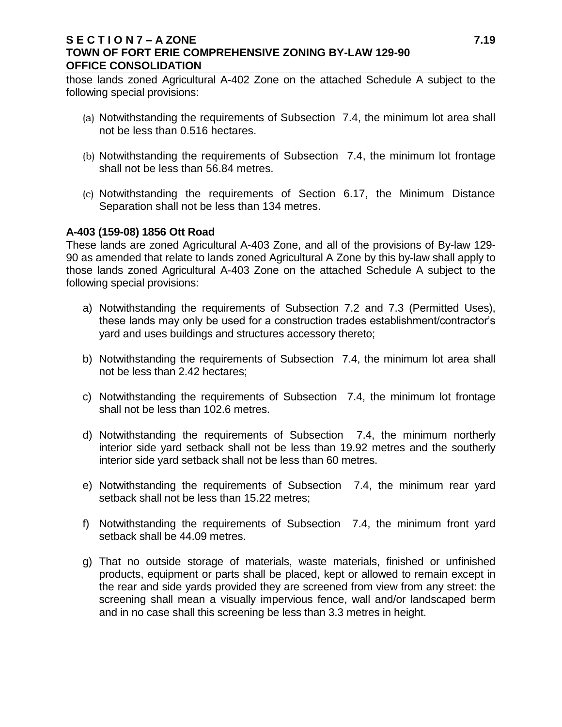## **S E C T I O N 7 – A ZONE 7.19 TOWN OF FORT ERIE COMPREHENSIVE ZONING BY-LAW 129-90 OFFICE CONSOLIDATION**

those lands zoned Agricultural A-402 Zone on the attached Schedule A subject to the following special provisions:

- (a) Notwithstanding the requirements of Subsection 7.4, the minimum lot area shall not be less than 0.516 hectares.
- (b) Notwithstanding the requirements of Subsection 7.4, the minimum lot frontage shall not be less than 56.84 metres.
- (c) Notwithstanding the requirements of Section 6.17, the Minimum Distance Separation shall not be less than 134 metres.

#### **A-403 (159-08) 1856 Ott Road**

These lands are zoned Agricultural A-403 Zone, and all of the provisions of By-law 129- 90 as amended that relate to lands zoned Agricultural A Zone by this by-law shall apply to those lands zoned Agricultural A-403 Zone on the attached Schedule A subject to the following special provisions:

- a) Notwithstanding the requirements of Subsection 7.2 and 7.3 (Permitted Uses), these lands may only be used for a construction trades establishment/contractor's yard and uses buildings and structures accessory thereto;
- b) Notwithstanding the requirements of Subsection 7.4, the minimum lot area shall not be less than 2.42 hectares;
- c) Notwithstanding the requirements of Subsection 7.4, the minimum lot frontage shall not be less than 102.6 metres.
- d) Notwithstanding the requirements of Subsection 7.4, the minimum northerly interior side yard setback shall not be less than 19.92 metres and the southerly interior side yard setback shall not be less than 60 metres.
- e) Notwithstanding the requirements of Subsection 7.4, the minimum rear yard setback shall not be less than 15.22 metres;
- f) Notwithstanding the requirements of Subsection 7.4, the minimum front yard setback shall be 44.09 metres.
- g) That no outside storage of materials, waste materials, finished or unfinished products, equipment or parts shall be placed, kept or allowed to remain except in the rear and side yards provided they are screened from view from any street: the screening shall mean a visually impervious fence, wall and/or landscaped berm and in no case shall this screening be less than 3.3 metres in height.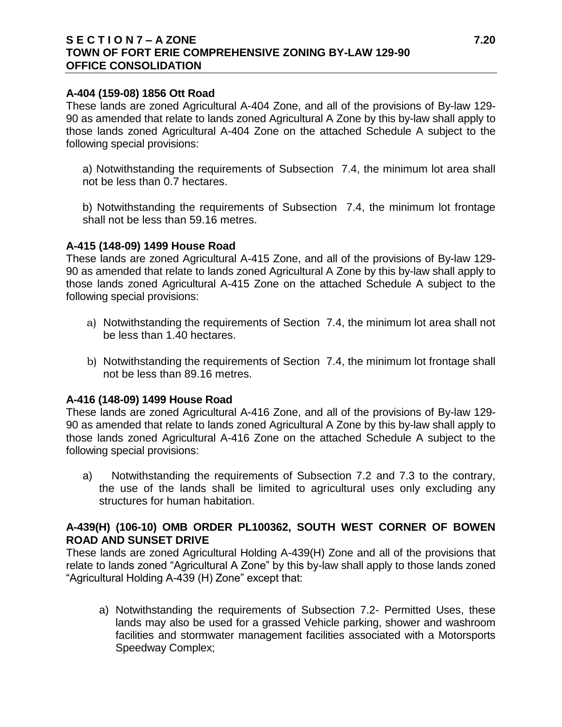### **S E C T I O N 7 – A ZONE 7.20 TOWN OF FORT ERIE COMPREHENSIVE ZONING BY-LAW 129-90 OFFICE CONSOLIDATION**

#### **A-404 (159-08) 1856 Ott Road**

These lands are zoned Agricultural A-404 Zone, and all of the provisions of By-law 129- 90 as amended that relate to lands zoned Agricultural A Zone by this by-law shall apply to those lands zoned Agricultural A-404 Zone on the attached Schedule A subject to the following special provisions:

a) Notwithstanding the requirements of Subsection 7.4, the minimum lot area shall not be less than 0.7 hectares.

b) Notwithstanding the requirements of Subsection 7.4, the minimum lot frontage shall not be less than 59.16 metres.

#### **A-415 (148-09) 1499 House Road**

These lands are zoned Agricultural A-415 Zone, and all of the provisions of By-law 129- 90 as amended that relate to lands zoned Agricultural A Zone by this by-law shall apply to those lands zoned Agricultural A-415 Zone on the attached Schedule A subject to the following special provisions:

- a) Notwithstanding the requirements of Section 7.4, the minimum lot area shall not be less than 1.40 hectares.
- b) Notwithstanding the requirements of Section 7.4, the minimum lot frontage shall not be less than 89.16 metres.

## **A-416 (148-09) 1499 House Road**

These lands are zoned Agricultural A-416 Zone, and all of the provisions of By-law 129- 90 as amended that relate to lands zoned Agricultural A Zone by this by-law shall apply to those lands zoned Agricultural A-416 Zone on the attached Schedule A subject to the following special provisions:

a) Notwithstanding the requirements of Subsection 7.2 and 7.3 to the contrary, the use of the lands shall be limited to agricultural uses only excluding any structures for human habitation.

## **A-439(H) (106-10) OMB ORDER PL100362, SOUTH WEST CORNER OF BOWEN ROAD AND SUNSET DRIVE**

These lands are zoned Agricultural Holding A-439(H) Zone and all of the provisions that relate to lands zoned "Agricultural A Zone" by this by-law shall apply to those lands zoned "Agricultural Holding A-439 (H) Zone" except that:

a) Notwithstanding the requirements of Subsection 7.2- Permitted Uses, these lands may also be used for a grassed Vehicle parking, shower and washroom facilities and stormwater management facilities associated with a Motorsports Speedway Complex;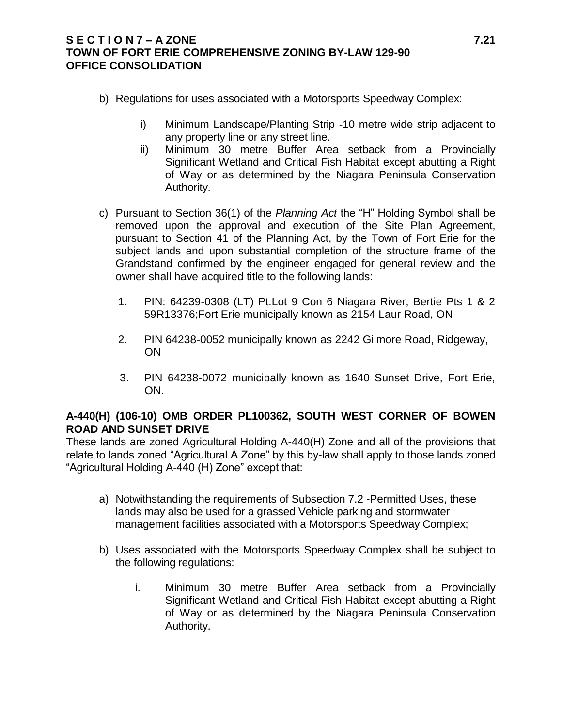- b) Regulations for uses associated with a Motorsports Speedway Complex:
	- i) Minimum Landscape/Planting Strip -10 metre wide strip adjacent to any property line or any street line.
	- ii) Minimum 30 metre Buffer Area setback from a Provincially Significant Wetland and Critical Fish Habitat except abutting a Right of Way or as determined by the Niagara Peninsula Conservation Authority.
- c) Pursuant to Section 36(1) of the *Planning Act* the "H" Holding Symbol shall be removed upon the approval and execution of the Site Plan Agreement, pursuant to Section 41 of the Planning Act, by the Town of Fort Erie for the subject lands and upon substantial completion of the structure frame of the Grandstand confirmed by the engineer engaged for general review and the owner shall have acquired title to the following lands:
	- 1. PIN: 64239-0308 (LT) Pt.Lot 9 Con 6 Niagara River, Bertie Pts 1 & 2 59R13376;Fort Erie municipally known as 2154 Laur Road, ON
	- 2. PIN 64238-0052 municipally known as 2242 Gilmore Road, Ridgeway, ON
	- 3. PIN 64238-0072 municipally known as 1640 Sunset Drive, Fort Erie, ON.

## **A-440(H) (106-10) OMB ORDER PL100362, SOUTH WEST CORNER OF BOWEN ROAD AND SUNSET DRIVE**

These lands are zoned Agricultural Holding A-440(H) Zone and all of the provisions that relate to lands zoned "Agricultural A Zone" by this by-law shall apply to those lands zoned "Agricultural Holding A-440 (H) Zone" except that:

- a) Notwithstanding the requirements of Subsection 7.2 -Permitted Uses, these lands may also be used for a grassed Vehicle parking and stormwater management facilities associated with a Motorsports Speedway Complex;
- b) Uses associated with the Motorsports Speedway Complex shall be subject to the following regulations:
	- i. Minimum 30 metre Buffer Area setback from a Provincially Significant Wetland and Critical Fish Habitat except abutting a Right of Way or as determined by the Niagara Peninsula Conservation Authority.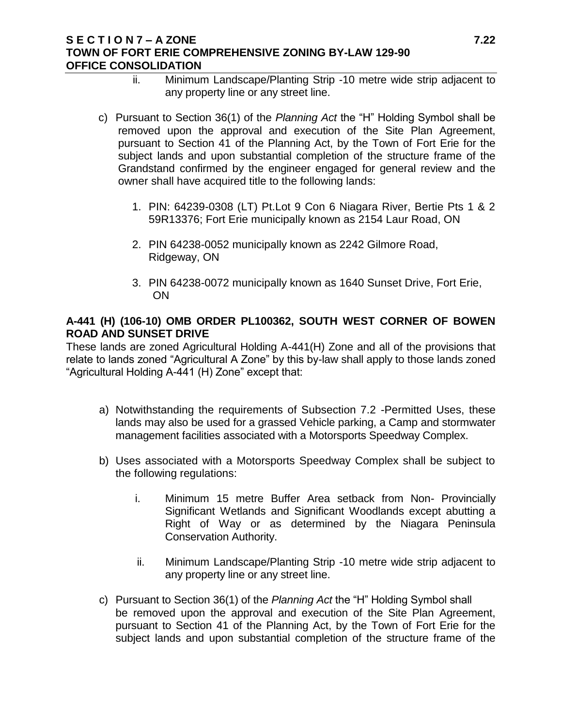#### **S E C T I O N 7 – A ZONE 7.22 TOWN OF FORT ERIE COMPREHENSIVE ZONING BY-LAW 129-90 OFFICE CONSOLIDATION**

- ii. Minimum Landscape/Planting Strip -10 metre wide strip adjacent to any property line or any street line.
- c) Pursuant to Section 36(1) of the *Planning Act* the "H" Holding Symbol shall be removed upon the approval and execution of the Site Plan Agreement, pursuant to Section 41 of the Planning Act, by the Town of Fort Erie for the subject lands and upon substantial completion of the structure frame of the Grandstand confirmed by the engineer engaged for general review and the owner shall have acquired title to the following lands:
	- 1. PIN: 64239-0308 (LT) Pt.Lot 9 Con 6 Niagara River, Bertie Pts 1 & 2 59R13376; Fort Erie municipally known as 2154 Laur Road, ON
	- 2. PIN 64238-0052 municipally known as 2242 Gilmore Road, Ridgeway, ON
	- 3. PIN 64238-0072 municipally known as 1640 Sunset Drive, Fort Erie, ON

## **A-441 (H) (106-10) OMB ORDER PL100362, SOUTH WEST CORNER OF BOWEN ROAD AND SUNSET DRIVE**

These lands are zoned Agricultural Holding A-441(H) Zone and all of the provisions that relate to lands zoned "Agricultural A Zone" by this by-law shall apply to those lands zoned "Agricultural Holding A-441 (H) Zone" except that:

- a) Notwithstanding the requirements of Subsection 7.2 -Permitted Uses, these lands may also be used for a grassed Vehicle parking, a Camp and stormwater management facilities associated with a Motorsports Speedway Complex.
- b) Uses associated with a Motorsports Speedway Complex shall be subject to the following regulations:
	- i. Minimum 15 metre Buffer Area setback from Non- Provincially Significant Wetlands and Significant Woodlands except abutting a Right of Way or as determined by the Niagara Peninsula Conservation Authority.
	- ii. Minimum Landscape/Planting Strip -10 metre wide strip adjacent to any property line or any street line.
- c) Pursuant to Section 36(1) of the *Planning Act* the "H" Holding Symbol shall be removed upon the approval and execution of the Site Plan Agreement, pursuant to Section 41 of the Planning Act, by the Town of Fort Erie for the subject lands and upon substantial completion of the structure frame of the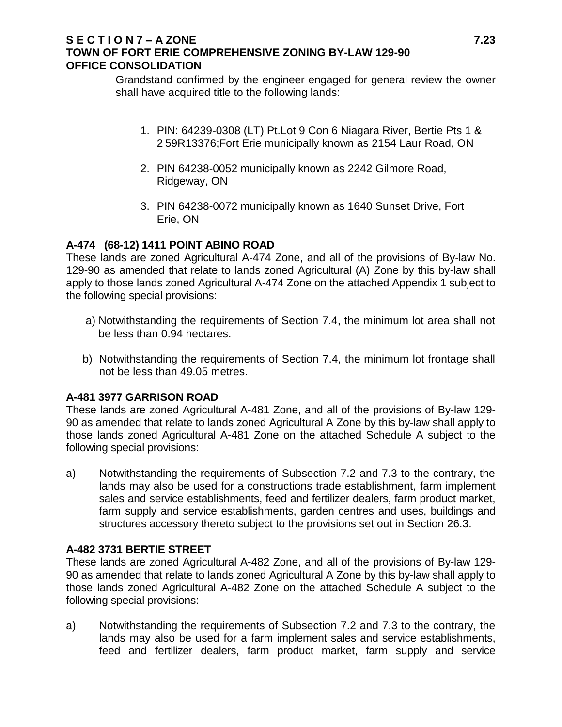### **S E C T I O N 7 – A ZONE 7.23 TOWN OF FORT ERIE COMPREHENSIVE ZONING BY-LAW 129-90 OFFICE CONSOLIDATION**

Grandstand confirmed by the engineer engaged for general review the owner shall have acquired title to the following lands:

- 1. PIN: 64239-0308 (LT) Pt.Lot 9 Con 6 Niagara River, Bertie Pts 1 & 2 59R13376;Fort Erie municipally known as 2154 Laur Road, ON
- 2. PIN 64238-0052 municipally known as 2242 Gilmore Road, Ridgeway, ON
- 3. PIN 64238-0072 municipally known as 1640 Sunset Drive, Fort Erie, ON

## **A-474 (68-12) 1411 POINT ABINO ROAD**

These lands are zoned Agricultural A-474 Zone, and all of the provisions of By-law No. 129-90 as amended that relate to lands zoned Agricultural (A) Zone by this by-law shall apply to those lands zoned Agricultural A-474 Zone on the attached Appendix 1 subject to the following special provisions:

- a) Notwithstanding the requirements of Section 7.4, the minimum lot area shall not be less than 0.94 hectares.
- b) Notwithstanding the requirements of Section 7.4, the minimum lot frontage shall not be less than 49.05 metres.

## **A-481 3977 GARRISON ROAD**

These lands are zoned Agricultural A-481 Zone, and all of the provisions of By-law 129- 90 as amended that relate to lands zoned Agricultural A Zone by this by-law shall apply to those lands zoned Agricultural A-481 Zone on the attached Schedule A subject to the following special provisions:

a) Notwithstanding the requirements of Subsection 7.2 and 7.3 to the contrary, the lands may also be used for a constructions trade establishment, farm implement sales and service establishments, feed and fertilizer dealers, farm product market, farm supply and service establishments, garden centres and uses, buildings and structures accessory thereto subject to the provisions set out in Section 26.3.

## **A-482 3731 BERTIE STREET**

These lands are zoned Agricultural A-482 Zone, and all of the provisions of By-law 129- 90 as amended that relate to lands zoned Agricultural A Zone by this by-law shall apply to those lands zoned Agricultural A-482 Zone on the attached Schedule A subject to the following special provisions:

a) Notwithstanding the requirements of Subsection 7.2 and 7.3 to the contrary, the lands may also be used for a farm implement sales and service establishments, feed and fertilizer dealers, farm product market, farm supply and service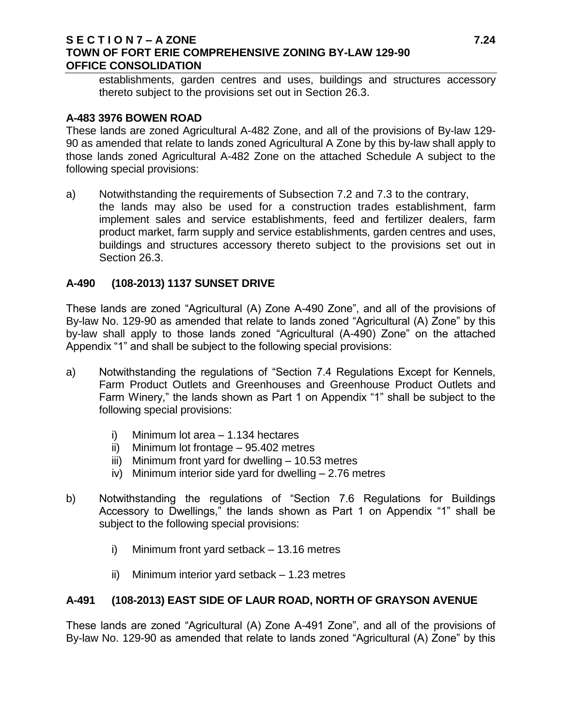#### **S E C T I O N 7 – A ZONE 7.24 TOWN OF FORT ERIE COMPREHENSIVE ZONING BY-LAW 129-90 OFFICE CONSOLIDATION**

establishments, garden centres and uses, buildings and structures accessory thereto subject to the provisions set out in Section 26.3.

#### **A-483 3976 BOWEN ROAD**

These lands are zoned Agricultural A-482 Zone, and all of the provisions of By-law 129- 90 as amended that relate to lands zoned Agricultural A Zone by this by-law shall apply to those lands zoned Agricultural A-482 Zone on the attached Schedule A subject to the following special provisions:

a) Notwithstanding the requirements of Subsection 7.2 and 7.3 to the contrary, the lands may also be used for a construction trades establishment, farm implement sales and service establishments, feed and fertilizer dealers, farm product market, farm supply and service establishments, garden centres and uses, buildings and structures accessory thereto subject to the provisions set out in Section 26.3.

## **A-490 (108-2013) 1137 SUNSET DRIVE**

These lands are zoned "Agricultural (A) Zone A-490 Zone", and all of the provisions of By-law No. 129-90 as amended that relate to lands zoned "Agricultural (A) Zone" by this by-law shall apply to those lands zoned "Agricultural (A-490) Zone" on the attached Appendix "1" and shall be subject to the following special provisions:

- a) Notwithstanding the regulations of "Section 7.4 Regulations Except for Kennels, Farm Product Outlets and Greenhouses and Greenhouse Product Outlets and Farm Winery," the lands shown as Part 1 on Appendix "1" shall be subject to the following special provisions:
	- i) Minimum lot area 1.134 hectares
	- ii) Minimum lot frontage 95.402 metres
	- iii) Minimum front yard for dwelling 10.53 metres
	- iv) Minimum interior side yard for dwelling 2.76 metres
- b) Notwithstanding the regulations of "Section 7.6 Regulations for Buildings Accessory to Dwellings," the lands shown as Part 1 on Appendix "1" shall be subject to the following special provisions:
	- i) Minimum front yard setback 13.16 metres
	- ii) Minimum interior yard setback 1.23 metres

## **A-491 (108-2013) EAST SIDE OF LAUR ROAD, NORTH OF GRAYSON AVENUE**

These lands are zoned "Agricultural (A) Zone A-491 Zone", and all of the provisions of By-law No. 129-90 as amended that relate to lands zoned "Agricultural (A) Zone" by this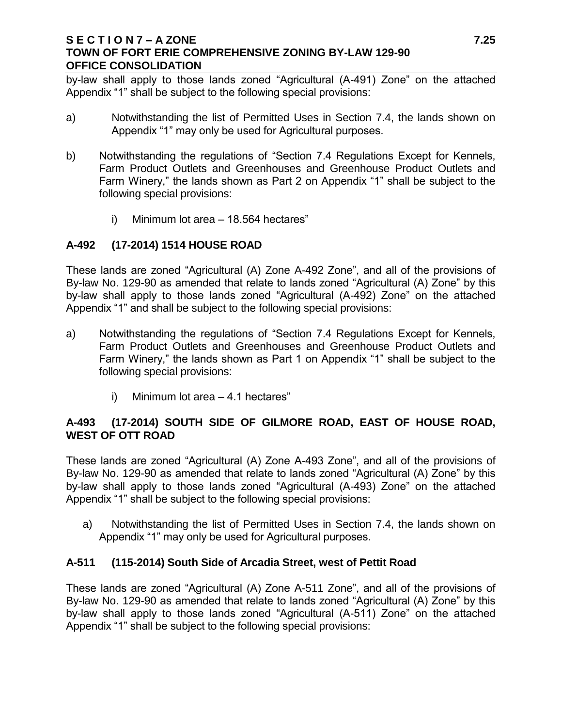### **S E C T I O N 7 – A ZONE 7.25 TOWN OF FORT ERIE COMPREHENSIVE ZONING BY-LAW 129-90 OFFICE CONSOLIDATION**

by-law shall apply to those lands zoned "Agricultural (A-491) Zone" on the attached Appendix "1" shall be subject to the following special provisions:

- a) Notwithstanding the list of Permitted Uses in Section 7.4, the lands shown on Appendix "1" may only be used for Agricultural purposes.
- b) Notwithstanding the regulations of "Section 7.4 Regulations Except for Kennels, Farm Product Outlets and Greenhouses and Greenhouse Product Outlets and Farm Winery," the lands shown as Part 2 on Appendix "1" shall be subject to the following special provisions:
	- i) Minimum lot area 18.564 hectares"

# **A-492 (17-2014) 1514 HOUSE ROAD**

These lands are zoned "Agricultural (A) Zone A-492 Zone", and all of the provisions of By-law No. 129-90 as amended that relate to lands zoned "Agricultural (A) Zone" by this by-law shall apply to those lands zoned "Agricultural (A-492) Zone" on the attached Appendix "1" and shall be subject to the following special provisions:

- a) Notwithstanding the regulations of "Section 7.4 Regulations Except for Kennels, Farm Product Outlets and Greenhouses and Greenhouse Product Outlets and Farm Winery," the lands shown as Part 1 on Appendix "1" shall be subject to the following special provisions:
	- i) Minimum lot area 4.1 hectares"

# **A-493 (17-2014) SOUTH SIDE OF GILMORE ROAD, EAST OF HOUSE ROAD, WEST OF OTT ROAD**

These lands are zoned "Agricultural (A) Zone A-493 Zone", and all of the provisions of By-law No. 129-90 as amended that relate to lands zoned "Agricultural (A) Zone" by this by-law shall apply to those lands zoned "Agricultural (A-493) Zone" on the attached Appendix "1" shall be subject to the following special provisions:

a) Notwithstanding the list of Permitted Uses in Section 7.4, the lands shown on Appendix "1" may only be used for Agricultural purposes.

## **A-511 (115-2014) South Side of Arcadia Street, west of Pettit Road**

These lands are zoned "Agricultural (A) Zone A-511 Zone", and all of the provisions of By-law No. 129-90 as amended that relate to lands zoned "Agricultural (A) Zone" by this by-law shall apply to those lands zoned "Agricultural (A-511) Zone" on the attached Appendix "1" shall be subject to the following special provisions: